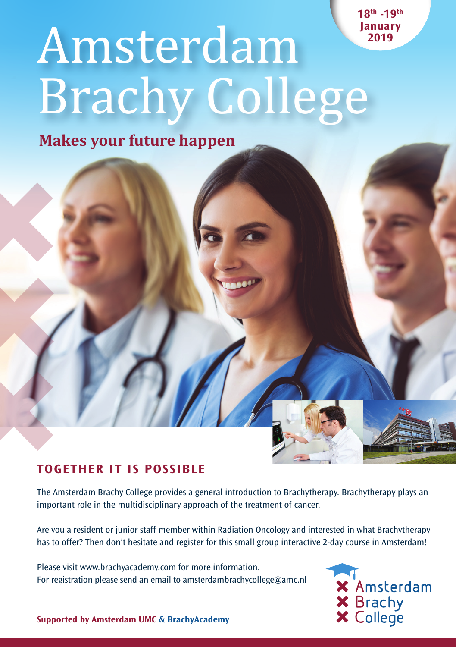**18th -19th January 2019** 

# Amsterdam Brachy College

**Makes your future happen**



# **TOGETHER IT IS POSSIBLE**

The Amsterdam Brachy College provides a general introduction to Brachytherapy. Brachytherapy plays an important role in the multidisciplinary approach of the treatment of cancer.

Are you a resident or junior staff member within Radiation Oncology and interested in what Brachytherapy has to offer? Then don't hesitate and register for this small group interactive 2-day course in Amsterdam!

Please visit www.brachyacademy.com for more information. For registration please send an email to amsterdambrachycollege@amc.nl



**Supported by Amsterdam UMC & BrachyAcademy**